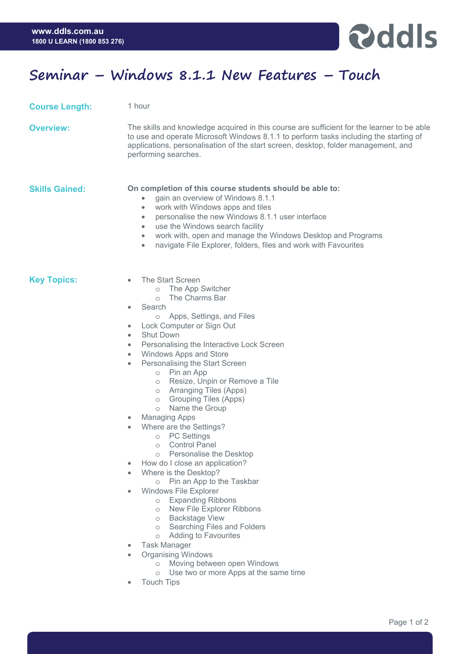

## **Seminar – Windows 8.1.1 New Features – Touch**

**Course Length:** 1 hour

**Overview:** The skills and knowledge acquired in this course are sufficient for the learner to be able to use and operate Microsoft Windows 8.1.1 to perform tasks including the starting of applications, personalisation of the start screen, desktop, folder management, and performing searches.

## **Skills Gained: On completion of this course students should be able to:**

- gain an overview of Windows 8.1.1
- work with Windows apps and tiles
- personalise the new Windows 8.1.1 user interface
- use the Windows search facility
- work with, open and manage the Windows Desktop and Programs
- navigate File Explorer, folders, files and work with Favourites

- **Key Topics:**  The Start Screen
	- o The App Switcher
	- o The Charms Bar
	- **Search** 
		- o Apps, Settings, and Files
	- Lock Computer or Sign Out
	- **Shut Down**
	- Personalising the Interactive Lock Screen
	- Windows Apps and Store
	- Personalising the Start Screen
		- o Pin an App
		- o Resize, Unpin or Remove a Tile
		- o Arranging Tiles (Apps)
		- o Grouping Tiles (Apps)
		- o Name the Group
	- Managing Apps
	- Where are the Settings?
		- o PC Settings
		- o Control Panel
		- o Personalise the Desktop
		- How do I close an application?
	- Where is the Desktop?
		- o Pin an App to the Taskbar
	- Windows File Explorer
		- o Expanding Ribbons
		- o New File Explorer Ribbons
		- o Backstage View
		- o Searching Files and Folders
		- o Adding to Favourites
	- Task Manager
	- Organising Windows
		- o Moving between open Windows
		- o Use two or more Apps at the same time
	- **Touch Tips**